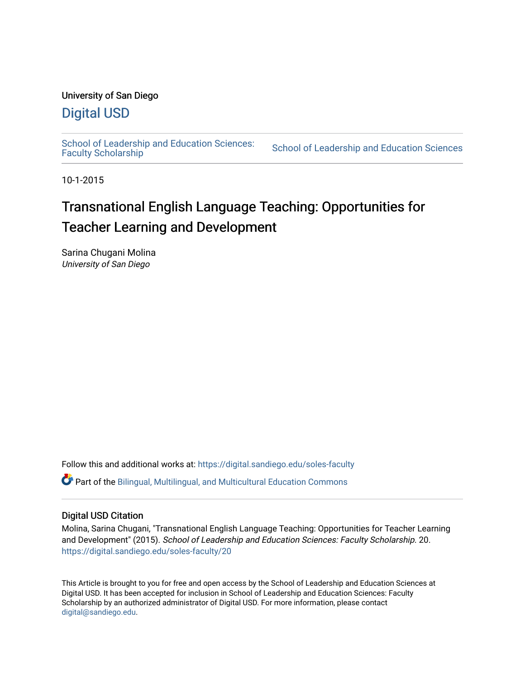# University of San Diego

# [Digital USD](https://digital.sandiego.edu/)

School of Leadership and Education Sciences:<br>Faculty Scholarship

School of Leadership and Education Sciences

10-1-2015

# Transnational English Language Teaching: Opportunities for Teacher Learning and Development

Sarina Chugani Molina University of San Diego

Follow this and additional works at: [https://digital.sandiego.edu/soles-faculty](https://digital.sandiego.edu/soles-faculty?utm_source=digital.sandiego.edu%2Fsoles-faculty%2F20&utm_medium=PDF&utm_campaign=PDFCoverPages) 

Part of the [Bilingual, Multilingual, and Multicultural Education Commons](https://network.bepress.com/hgg/discipline/785?utm_source=digital.sandiego.edu%2Fsoles-faculty%2F20&utm_medium=PDF&utm_campaign=PDFCoverPages) 

# Digital USD Citation

Molina, Sarina Chugani, "Transnational English Language Teaching: Opportunities for Teacher Learning and Development" (2015). School of Leadership and Education Sciences: Faculty Scholarship. 20. [https://digital.sandiego.edu/soles-faculty/20](https://digital.sandiego.edu/soles-faculty/20?utm_source=digital.sandiego.edu%2Fsoles-faculty%2F20&utm_medium=PDF&utm_campaign=PDFCoverPages) 

This Article is brought to you for free and open access by the School of Leadership and Education Sciences at Digital USD. It has been accepted for inclusion in School of Leadership and Education Sciences: Faculty Scholarship by an authorized administrator of Digital USD. For more information, please contact [digital@sandiego.edu](mailto:digital@sandiego.edu).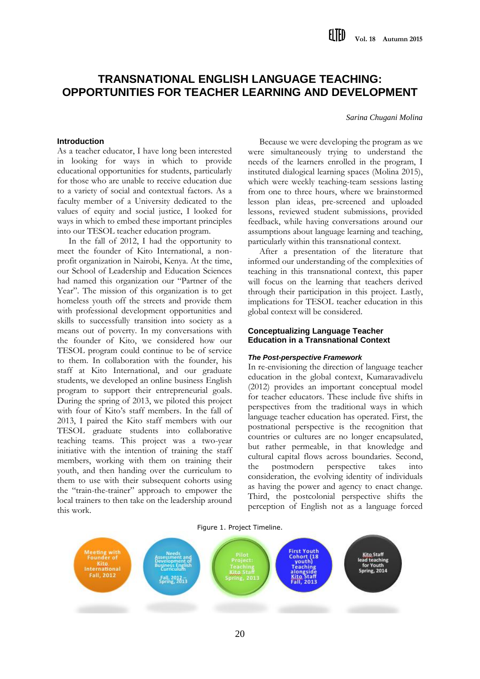# **TRANSNATIONAL ENGLISH LANGUAGE TEACHING: OPPORTUNITIES FOR TEACHER LEARNING AND DEVELOPMENT**

*Sarina Chugani Molina*

#### **Introduction**

As a teacher educator, I have long been interested in looking for ways in which to provide educational opportunities for students, particularly for those who are unable to receive education due to a variety of social and contextual factors. As a faculty member of a University dedicated to the values of equity and social justice, I looked for ways in which to embed these important principles into our TESOL teacher education program.

In the fall of 2012, I had the opportunity to meet the founder of Kito International, a nonprofit organization in Nairobi, Kenya. At the time, our School of Leadership and Education Sciences had named this organization our "Partner of the Year". The mission of this organization is to get homeless youth off the streets and provide them with professional development opportunities and skills to successfully transition into society as a means out of poverty. In my conversations with the founder of Kito, we considered how our TESOL program could continue to be of service to them. In collaboration with the founder, his staff at Kito International, and our graduate students, we developed an online business English program to support their entrepreneurial goals. During the spring of 2013, we piloted this project with four of Kito's staff members. In the fall of 2013, I paired the Kito staff members with our TESOL graduate students into collaborative teaching teams. This project was a two-year initiative with the intention of training the staff members, working with them on training their youth, and then handing over the curriculum to them to use with their subsequent cohorts using the "train-the-trainer" approach to empower the local trainers to then take on the leadership around this work.

Because we were developing the program as we were simultaneously trying to understand the needs of the learners enrolled in the program, I instituted dialogical learning spaces (Molina 2015), which were weekly teaching-team sessions lasting from one to three hours, where we brainstormed lesson plan ideas, pre-screened and uploaded lessons, reviewed student submissions, provided feedback, while having conversations around our assumptions about language learning and teaching, particularly within this transnational context.

After a presentation of the literature that informed our understanding of the complexities of teaching in this transnational context, this paper will focus on the learning that teachers derived through their participation in this project. Lastly, implications for TESOL teacher education in this global context will be considered.

#### **Conceptualizing Language Teacher Education in a Transnational Context**

#### *The Post-perspective Framework*

In re-envisioning the direction of language teacher education in the global context, Kumaravadivelu (2012) provides an important conceptual model for teacher educators. These include five shifts in perspectives from the traditional ways in which language teacher education has operated. First, the postnational perspective is the recognition that countries or cultures are no longer encapsulated, but rather permeable, in that knowledge and cultural capital flows across boundaries. Second, the postmodern perspective takes into consideration, the evolving identity of individuals as having the power and agency to enact change. Third, the postcolonial perspective shifts the perception of English not as a language forced

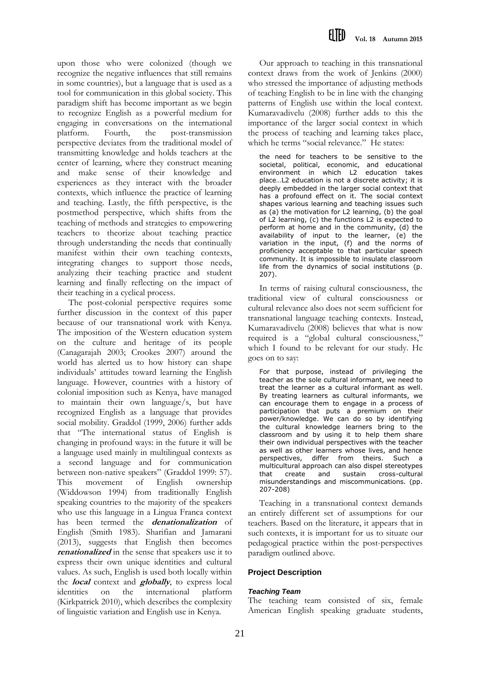upon those who were colonized (though we recognize the negative influences that still remains in some countries), but a language that is used as a tool for communication in this global society. This paradigm shift has become important as we begin to recognize English as a powerful medium for engaging in conversations on the international platform. Fourth, the post-transmission perspective deviates from the traditional model of transmitting knowledge and holds teachers at the center of learning, where they construct meaning and make sense of their knowledge and experiences as they interact with the broader contexts, which influence the practice of learning and teaching. Lastly, the fifth perspective, is the postmethod perspective, which shifts from the teaching of methods and strategies to empowering teachers to theorize about teaching practice through understanding the needs that continually manifest within their own teaching contexts, integrating changes to support those needs, analyzing their teaching practice and student learning and finally reflecting on the impact of their teaching in a cyclical process.

The post-colonial perspective requires some further discussion in the context of this paper because of our transnational work with Kenya. The imposition of the Western education system on the culture and heritage of its people (Canagarajah 2003; Crookes 2007) around the world has alerted us to how history can shape individuals' attitudes toward learning the English language. However, countries with a history of colonial imposition such as Kenya, have managed to maintain their own language/s, but have recognized English as a language that provides social mobility. Graddol (1999, 2006) further adds that "The international status of English is changing in profound ways: in the future it will be a language used mainly in multilingual contexts as a second language and for communication between non-native speakers" (Graddol 1999: 57). This movement of English ownership (Widdowson 1994) from traditionally English speaking countries to the majority of the speakers who use this language in a Lingua Franca context has been termed the **denationalization** of English (Smith 1983). Sharifian and Jamarani (2013), suggests that English then becomes **renationalized** in the sense that speakers use it to express their own unique identities and cultural values. As such, English is used both locally within the **local** context and **globally**, to express local identities on the international platform (Kirkpatrick 2010), which describes the complexity of linguistic variation and English use in Kenya.

Our approach to teaching in this transnational context draws from the work of Jenkins (2000) who stressed the importance of adjusting methods of teaching English to be in line with the changing patterns of English use within the local context. Kumaravadivelu (2008) further adds to this the importance of the larger social context in which the process of teaching and learning takes place, which he terms "social relevance." He states:

the need for teachers to be sensitive to the societal, political, economic, and educational environment in which L2 education takes place…L2 education is not a discrete activity; it is deeply embedded in the larger social context that has a profound effect on it. The social context shapes various learning and teaching issues such as (a) the motivation for L2 learning, (b) the goal of L2 learning, (c) the functions L2 is expected to perform at home and in the community, (d) the availability of input to the learner, (e) the variation in the input, (f) and the norms of proficiency acceptable to that particular speech community. It is impossible to insulate classroom life from the dynamics of social institutions (p. 207).

In terms of raising cultural consciousness, the traditional view of cultural consciousness or cultural relevance also does not seem sufficient for transnational language teaching contexts. Instead, Kumaravadivelu (2008) believes that what is now required is a "global cultural consciousness," which I found to be relevant for our study. He goes on to say:

For that purpose, instead of privileging the teacher as the sole cultural informant, we need to treat the learner as a cultural informant as well. By treating learners as cultural informants, we can encourage them to engage in a process of participation that puts a premium on their power/knowledge. We can do so by identifying the cultural knowledge learners bring to the classroom and by using it to help them share their own individual perspectives with the teacher as well as other learners whose lives, and hence perspectives, differ from theirs. Such a multicultural approach can also dispel stereotypes that create and sustain cross-cultural misunderstandings and miscommunications. (pp. 207-208)

Teaching in a transnational context demands an entirely different set of assumptions for our teachers. Based on the literature, it appears that in such contexts, it is important for us to situate our pedagogical practice within the post-perspectives paradigm outlined above.

# **Project Description**

# *Teaching Team*

The teaching team consisted of six, female American English speaking graduate students,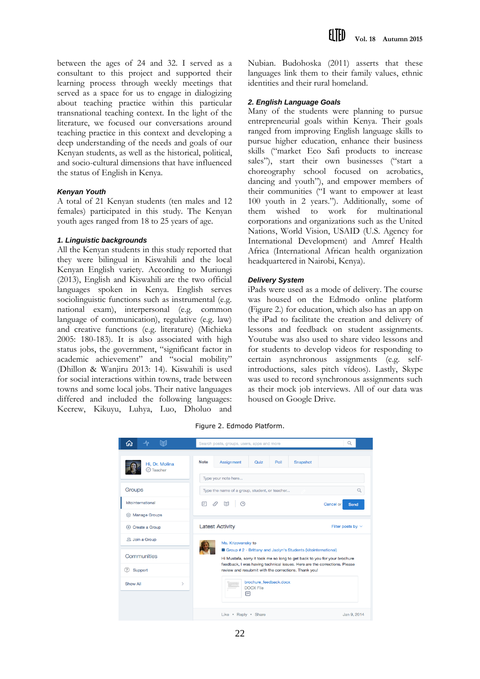between the ages of 24 and 32. I served as a consultant to this project and supported their learning process through weekly meetings that served as a space for us to engage in dialogizing about teaching practice within this particular transnational teaching context. In the light of the literature, we focused our conversations around teaching practice in this context and developing a deep understanding of the needs and goals of our Kenyan students, as well as the historical, political, and socio-cultural dimensions that have influenced the status of English in Kenya.

#### *Kenyan Youth*

A total of 21 Kenyan students (ten males and 12 females) participated in this study. The Kenyan youth ages ranged from 18 to 25 years of age.

## *1. Linguistic backgrounds*

All the Kenyan students in this study reported that they were bilingual in Kiswahili and the local Kenyan English variety. According to Muriungi (2013), English and Kiswahili are the two official languages spoken in Kenya. English serves sociolinguistic functions such as instrumental (e.g. national exam), interpersonal (e.g. common language of communication), regulative (e.g. law) and creative functions (e.g. literature) (Michieka 2005: 180-183). It is also associated with high status jobs, the government, "significant factor in academic achievement" and "social mobility" (Dhillon & Wanjiru 2013: 14). Kiswahili is used for social interactions within towns, trade between towns and some local jobs. Their native languages differed and included the following languages: Kecrew, Kikuyu, Luhya, Luo, Dholuo and

Nubian. Budohoska (2011) asserts that these languages link them to their family values, ethnic identities and their rural homeland.

#### *2. English Language Goals*

Many of the students were planning to pursue entrepreneurial goals within Kenya. Their goals ranged from improving English language skills to pursue higher education, enhance their business skills ("market Eco Safi products to increase sales"), start their own businesses ("start a choreography school focused on acrobatics, dancing and youth"), and empower members of their communities ("I want to empower at least 100 youth in 2 years."). Additionally, some of them wished to work for multinational corporations and organizations such as the United Nations, World Vision, USAID (U.S. Agency for International Development) and Amref Health Africa (International African health organization headquartered in Nairobi, Kenya).

#### *Delivery System*

iPads were used as a mode of delivery. The course was housed on the Edmodo online platform (Figure 2.) for education, which also has an app on the iPad to facilitate the creation and delivery of lessons and feedback on student assignments. Youtube was also used to share video lessons and for students to develop videos for responding to certain asynchronous assignments (e.g. selfintroductions, sales pitch vídeos). Lastly, Skype was used to record synchronous assignments such as their mock job interviews. All of our data was housed on Google Drive.

Figure 2. Edmodo Platform.

| 跑<br>ᄾ                                      | Search posts, groups, users, apps and more                                                                                                                                                                                                                        | Q                                                             |
|---------------------------------------------|-------------------------------------------------------------------------------------------------------------------------------------------------------------------------------------------------------------------------------------------------------------------|---------------------------------------------------------------|
| Hi. Dr. Molina<br>$\oslash$ Teacher         | <b>Note</b><br>Assignment<br>Quiz                                                                                                                                                                                                                                 | Poll<br>Snapshot                                              |
| Groups                                      | Type your note here<br>Type the name of a group, student, or teacher<br>Q                                                                                                                                                                                         |                                                               |
| kitointernational<br>@ Manage Groups        | 冃<br>$\odot$<br>.S<br>$E =$<br><b>Latest Activity</b>                                                                                                                                                                                                             | Cancel or<br>Send<br>Filter posts by $\vee$                   |
| $\oplus$ Create a Group<br>22. Join a Group | Ms. Krizovensky to                                                                                                                                                                                                                                                | Group #2 - Brittany and Jaclyn's Students (kitointernational) |
| Communities<br>Support<br>(?)               | Hi Mustafa, sorry it took me so long to get back to you for your brochure<br>feedback, I was having technical issues. Here are the corrections. Please<br>review and resubmit with the corrections. Thank you!<br>brochure_feedback.docx<br><b>DOCX File</b><br>⊟ |                                                               |
| Show All<br>$\mathcal{P}$                   |                                                                                                                                                                                                                                                                   |                                                               |
|                                             | Like . Reply . Share                                                                                                                                                                                                                                              | Jan 9, 2014                                                   |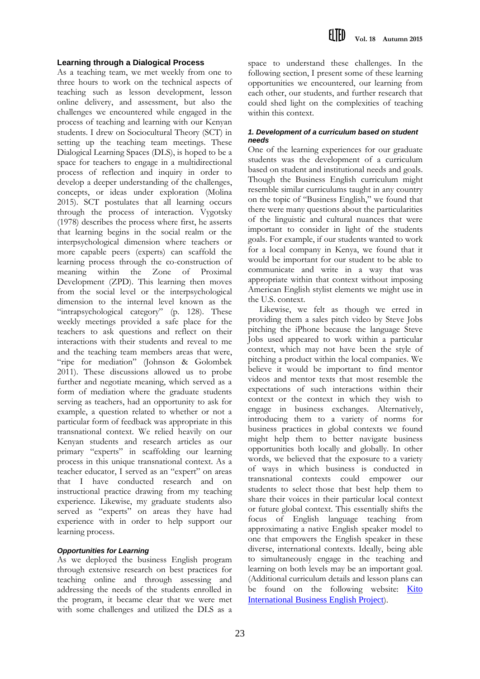#### **Learning through a Dialogical Process**

As a teaching team, we met weekly from one to three hours to work on the technical aspects of teaching such as lesson development, lesson online delivery, and assessment, but also the challenges we encountered while engaged in the process of teaching and learning with our Kenyan students. I drew on Sociocultural Theory (SCT) in setting up the teaching team meetings. These Dialogical Learning Spaces (DLS), is hoped to be a space for teachers to engage in a multidirectional process of reflection and inquiry in order to develop a deeper understanding of the challenges, concepts, or ideas under exploration (Molina 2015). SCT postulates that all learning occurs through the process of interaction. Vygotsky (1978) describes the process where first, he asserts that learning begins in the social realm or the interpsychological dimension where teachers or more capable peers (experts) can scaffold the learning process through the co-construction of meaning within the Zone of Proximal Development (ZPD). This learning then moves from the social level or the interpsychological dimension to the internal level known as the "intrapsychological category" (p. 128). These weekly meetings provided a safe place for the teachers to ask questions and reflect on their interactions with their students and reveal to me and the teaching team members areas that were, "ripe for mediation" (Johnson & Golombek 2011). These discussions allowed us to probe further and negotiate meaning, which served as a form of mediation where the graduate students serving as teachers, had an opportunity to ask for example, a question related to whether or not a particular form of feedback was appropriate in this transnational context. We relied heavily on our Kenyan students and research articles as our primary "experts" in scaffolding our learning process in this unique transnational context. As a teacher educator, I served as an "expert" on areas that I have conducted research and on instructional practice drawing from my teaching experience. Likewise, my graduate students also served as "experts" on areas they have had experience with in order to help support our learning process.

# *Opportunities for Learning*

As we deployed the business English program through extensive research on best practices for teaching online and through assessing and addressing the needs of the students enrolled in the program, it became clear that we were met with some challenges and utilized the DLS as a

space to understand these challenges. In the following section, I present some of these learning opportunities we encountered, our learning from each other, our students, and further research that could shed light on the complexities of teaching within this context.

## *1. Development of a curriculum based on student needs*

One of the learning experiences for our graduate students was the development of a curriculum based on student and institutional needs and goals. Though the Business English curriculum might resemble similar curriculums taught in any country on the topic of "Business English," we found that there were many questions about the particularities of the linguistic and cultural nuances that were important to consider in light of the students goals. For example, if our students wanted to work for a local company in Kenya, we found that it would be important for our student to be able to communicate and write in a way that was appropriate within that context without imposing American English stylist elements we might use in the U.S. context.

Likewise, we felt as though we erred in providing them a sales pitch video by Steve Jobs pitching the iPhone because the language Steve Jobs used appeared to work within a particular context, which may not have been the style of pitching a product within the local companies. We believe it would be important to find mentor videos and mentor texts that most resemble the expectations of such interactions within their context or the context in which they wish to engage in business exchanges. Alternatively, introducing them to a variety of norms for business practices in global contexts we found might help them to better navigate business opportunities both locally and globally. In other words, we believed that the exposure to a variety of ways in which business is conducted in transnational contexts could empower our students to select those that best help them to share their voices in their particular local context or future global context. This essentially shifts the focus of English language teaching from approximating a native English speaker model to one that empowers the English speaker in these diverse, international contexts. Ideally, being able to simultaneously engage in the teaching and learning on both levels may be an important goal. (Additional curriculum details and lesson plans can be found on the following website: [Kito](http://molina-sandiego.weebly.com/transnational-language-teaching.html)  [International Business English Project](http://molina-sandiego.weebly.com/transnational-language-teaching.html)).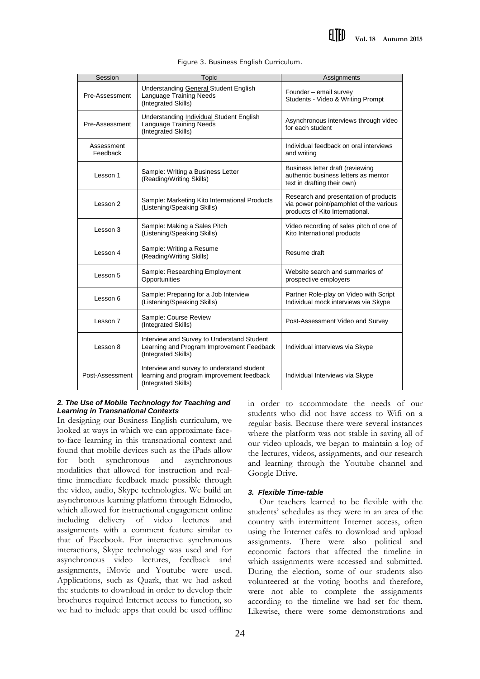| Session                | Topic                                                                                                          | Assignments                                                                                                         |
|------------------------|----------------------------------------------------------------------------------------------------------------|---------------------------------------------------------------------------------------------------------------------|
| Pre-Assessment         | Understanding General Student English<br>Language Training Needs<br>(Integrated Skills)                        | Founder - email survey<br>Students - Video & Writing Prompt                                                         |
| Pre-Assessment         | Understanding Individual Student English<br>Language Training Needs<br>(Integrated Skills)                     | Asynchronous interviews through video<br>for each student                                                           |
| Assessment<br>Feedback |                                                                                                                | Individual feedback on oral interviews<br>and writing                                                               |
| Lesson 1               | Sample: Writing a Business Letter<br>(Reading/Writing Skills)                                                  | Business letter draft (reviewing<br>authentic business letters as mentor<br>text in drafting their own)             |
| Lesson 2               | Sample: Marketing Kito International Products<br>(Listening/Speaking Skills)                                   | Research and presentation of products<br>via power point/pamphlet of the various<br>products of Kito International. |
| Lesson 3               | Sample: Making a Sales Pitch<br>(Listening/Speaking Skills)                                                    | Video recording of sales pitch of one of<br>Kito International products                                             |
| Lesson 4               | Sample: Writing a Resume<br>(Reading/Writing Skills)                                                           | Resume draft                                                                                                        |
| Lesson 5               | Sample: Researching Employment<br>Opportunities                                                                | Website search and summaries of<br>prospective employers                                                            |
| Lesson 6               | Sample: Preparing for a Job Interview<br>(Listening/Speaking Skills)                                           | Partner Role-play on Video with Script<br>Individual mock interviews via Skype                                      |
| Lesson 7               | Sample: Course Review<br>(Integrated Skills)                                                                   | Post-Assessment Video and Survey                                                                                    |
| Lesson 8               | Interview and Survey to Understand Student<br>Learning and Program Improvement Feedback<br>(Integrated Skills) | Individual interviews via Skype                                                                                     |
| Post-Assessment        | Interview and survey to understand student<br>learning and program improvement feedback<br>(Integrated Skills) | Individual Interviews via Skype                                                                                     |

Figure 3. Business English Curriculum.

#### *2. The Use of Mobile Technology for Teaching and Learning in Transnational Contexts*

In designing our Business English curriculum, we looked at ways in which we can approximate faceto-face learning in this transnational context and found that mobile devices such as the iPads allow for both synchronous and asynchronous modalities that allowed for instruction and realtime immediate feedback made possible through the video, audio, Skype technologies. We build an asynchronous learning platform through Edmodo, which allowed for instructional engagement online including delivery of video lectures and assignments with a comment feature similar to that of Facebook. For interactive synchronous interactions, Skype technology was used and for asynchronous video lectures, feedback and assignments, iMovie and Youtube were used. Applications, such as Quark, that we had asked the students to download in order to develop their brochures required Internet access to function, so we had to include apps that could be used offline

in order to accommodate the needs of our students who did not have access to Wifi on a regular basis. Because there were several instances where the platform was not stable in saving all of our video uploads, we began to maintain a log of the lectures, videos, assignments, and our research and learning through the Youtube channel and Google Drive.

# *3. Flexible Time-table*

Our teachers learned to be flexible with the students' schedules as they were in an area of the country with intermittent Internet access, often using the Internet cafés to download and upload assignments. There were also political and economic factors that affected the timeline in which assignments were accessed and submitted. During the election, some of our students also volunteered at the voting booths and therefore, were not able to complete the assignments according to the timeline we had set for them. Likewise, there were some demonstrations and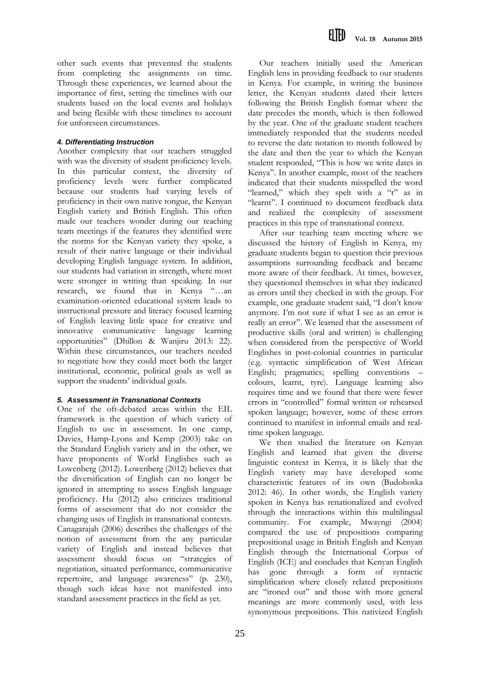other such events that prevented the students from completing the assignments on time. Through these experiences, we learned about the importance of first, setting the timelines with our students based on the local events and holidays and being flexible with these timelines to account for unforeseen circumstances.

# *4. Differentiating Instruction*

Another complexity that our teachers struggled with was the diversity of student proficiency levels. In this particular context, the diversity of proficiency levels were further complicated because our students had varying levels of proficiency in their own native tongue, the Kenyan English variety and British English. This often made our teachers wonder during our teaching team meetings if the features they identified were the norms for the Kenyan variety they spoke, a result of their native language or their individual developing English language system. In addition, our students had variation in strength, where most were stronger in writing than speaking. In our research, we found that in Kenya "…an examination-oriented educational system leads to instructional pressure and literacy focused learning of English leaving little space for creative and innovative communicative language learning opportunities" (Dhillon & Wanjiru 2013: 22). Within these circumstances, our teachers needed to negotiate how they could meet both the larger institutional, economic, political goals as well as support the students' individual goals.

#### *5. Assessment in Transnational Contexts*

One of the oft-debated areas within the EIL framework is the question of which variety of English to use in assessment. In one camp, Davies, Hamp-Lyons and Kemp (2003) take on the Standard English variety and in the other, we have proponents of World Englishes such as Lowenberg (2012). Lowenberg (2012) believes that the diversification of English can no longer be ignored in attempting to assess English language proficiency. Hu (2012) also criticizes traditional forms of assessment that do not consider the changing uses of English in transnational contexts. Canagarajah (2006) describes the challenges of the notion of assessment from the any particular variety of English and instead believes that assessment should focus on "strategies of negotiation, situated performance, communicative repertoire, and language awareness" (p. 230), though such ideas have not manifested into standard assessment practices in the field as yet.

Our teachers initially used the American English lens in providing feedback to our students in Kenya. For example, in writing the business letter, the Kenyan students dated their letters following the British English format where the date precedes the month, which is then followed by the year. One of the graduate student teachers immediately responded that the students needed to reverse the date notation to month followed by the date and then the year to which the Kenyan student responded, "This is how we write dates in Kenya". In another example, most of the teachers indicated that their students misspelled the word "learned," which they spelt with a "t" as in "learnt". I continued to document feedback data and realized the complexity of assessment practices in this type of transnational context.

After our teaching team meeting where we discussed the history of English in Kenya, my graduate students began to question their previous assumptions surrounding feedback and became more aware of their feedback. At times, however, they questioned themselves in what they indicated as errors until they checked in with the group. For example, one graduate student said, "I don't know anymore. I'm not sure if what I see as an error is really an error". We learned that the assessment of productive skills (oral and written) is challenging when considered from the perspective of World Englishes in post-colonial countries in particular (e.g. syntactic simplification of West African English; pragmatics; spelling conventions – colours, learnt, tyre). Language learning also requires time and we found that there were fewer errors in "controlled" formal written or rehearsed spoken language; however, some of these errors continued to manifest in informal emails and realtime spoken language.

We then studied the literature on Kenyan English and learned that given the diverse linguistic context in Kenya, it is likely that the English variety may have developed some characteristic features of its own (Budohoska 2012: 46). In other words, the English variety spoken in Kenya has renationalized and evolved through the interactions within this multilingual community. For example, Mwayngi (2004) compared the use of prepositions comparing prepositional usage in British English and Kenyan English through the International Corpus of English (ICE) and concludes that Kenyan English has gone through a form of syntactic simplification where closely related prepositions are "ironed out" and those with more general meanings are more commonly used, with less synonymous prepositions. This nativized English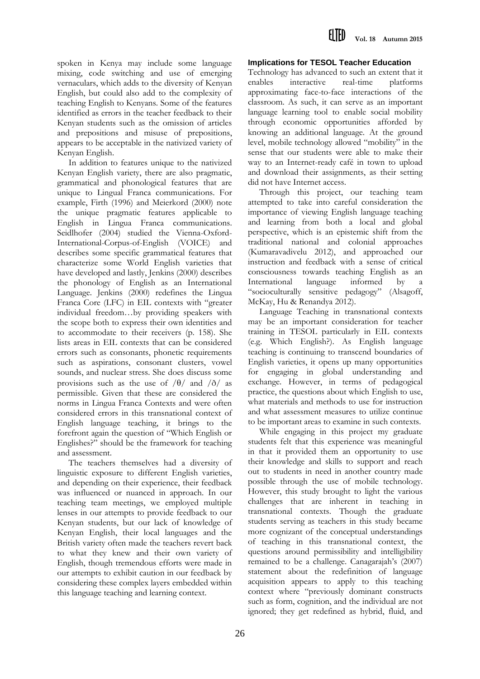spoken in Kenya may include some language mixing, code switching and use of emerging vernaculars, which adds to the diversity of Kenyan English, but could also add to the complexity of teaching English to Kenyans. Some of the features identified as errors in the teacher feedback to their Kenyan students such as the omission of articles and prepositions and misuse of prepositions, appears to be acceptable in the nativized variety of Kenyan English.

In addition to features unique to the nativized Kenyan English variety, there are also pragmatic, grammatical and phonological features that are unique to Lingual Franca communications. For example, Firth (1996) and Meierkord (2000) note the unique pragmatic features applicable to English in Lingua Franca communications. Seidlhofer (2004) studied the Vienna-Oxford-International-Corpus-of-English (VOICE) and describes some specific grammatical features that characterize some World English varieties that have developed and lastly, Jenkins (2000) describes the phonology of English as an International Language. Jenkins (2000) redefines the Lingua Franca Core (LFC) in EIL contexts with "greater individual freedom…by providing speakers with the scope both to express their own identities and to accommodate to their receivers (p. 158). She lists areas in EIL contexts that can be considered errors such as consonants, phonetic requirements such as aspirations, consonant clusters, vowel sounds, and nuclear stress. She does discuss some provisions such as the use of  $/\theta$  and  $/\delta$  as permissible. Given that these are considered the norms in Lingua Franca Contexts and were often considered errors in this transnational context of English language teaching, it brings to the forefront again the question of "Which English or Englishes?" should be the framework for teaching and assessment.

The teachers themselves had a diversity of linguistic exposure to different English varieties, and depending on their experience, their feedback was influenced or nuanced in approach. In our teaching team meetings, we employed multiple lenses in our attempts to provide feedback to our Kenyan students, but our lack of knowledge of Kenyan English, their local languages and the British variety often made the teachers revert back to what they knew and their own variety of English, though tremendous efforts were made in our attempts to exhibit caution in our feedback by considering these complex layers embedded within this language teaching and learning context.

# **Implications for TESOL Teacher Education**

Technology has advanced to such an extent that it enables interactive real-time platforms approximating face-to-face interactions of the classroom. As such, it can serve as an important language learning tool to enable social mobility through economic opportunities afforded by knowing an additional language. At the ground level, mobile technology allowed "mobility" in the sense that our students were able to make their way to an Internet-ready café in town to upload and download their assignments, as their setting did not have Internet access.

Through this project, our teaching team attempted to take into careful consideration the importance of viewing English language teaching and learning from both a local and global perspective, which is an epistemic shift from the traditional national and colonial approaches (Kumaravadivelu 2012), and approached our instruction and feedback with a sense of critical consciousness towards teaching English as an International language informed by "socioculturally sensitive pedagogy" (Alsagoff, McKay, Hu & Renandya 2012).

Language Teaching in transnational contexts may be an important consideration for teacher training in TESOL particularly in EIL contexts (e.g. Which English?). As English language teaching is continuing to transcend boundaries of English varieties, it opens up many opportunities for engaging in global understanding and exchange. However, in terms of pedagogical practice, the questions about which English to use, what materials and methods to use for instruction and what assessment measures to utilize continue to be important areas to examine in such contexts.

While engaging in this project my graduate students felt that this experience was meaningful in that it provided them an opportunity to use their knowledge and skills to support and reach out to students in need in another country made possible through the use of mobile technology. However, this study brought to light the various challenges that are inherent in teaching in transnational contexts. Though the graduate students serving as teachers in this study became more cognizant of the conceptual understandings of teaching in this transnational context, the questions around permissibility and intelligibility remained to be a challenge. Canagarajah's (2007) statement about the redefinition of language acquisition appears to apply to this teaching context where "previously dominant constructs such as form, cognition, and the individual are not ignored; they get redefined as hybrid, fluid, and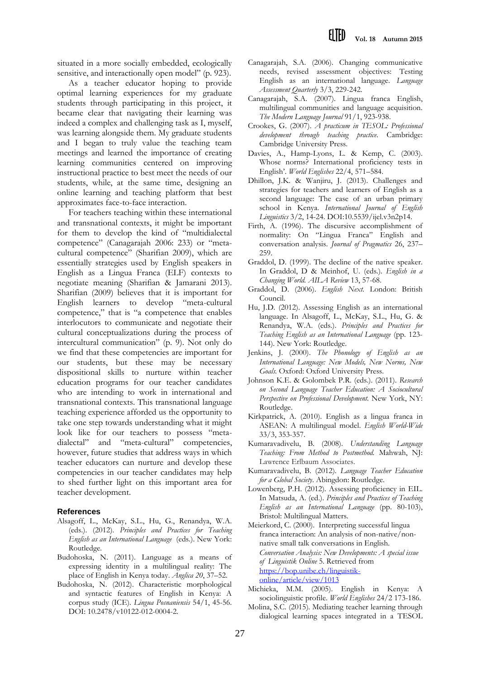situated in a more socially embedded, ecologically sensitive, and interactionally open model" (p. 923).

As a teacher educator hoping to provide optimal learning experiences for my graduate students through participating in this project, it became clear that navigating their learning was indeed a complex and challenging task as I, myself, was learning alongside them. My graduate students and I began to truly value the teaching team meetings and learned the importance of creating learning communities centered on improving instructional practice to best meet the needs of our students, while, at the same time, designing an online learning and teaching platform that best approximates face-to-face interaction.

For teachers teaching within these international and transnational contexts, it might be important for them to develop the kind of "multidialectal competence" (Canagarajah 2006: 233) or "metacultural competence" (Sharifian 2009), which are essentially strategies used by English speakers in English as a Lingua Franca (ELF) contexts to negotiate meaning (Sharifian & Jamarani 2013). Sharifian (2009) believes that it is important for English learners to develop "meta-cultural competence," that is "a competence that enables interlocutors to communicate and negotiate their cultural conceptualizations during the process of intercultural communication" (p. 9). Not only do we find that these competencies are important for our students, but these may be necessary dispositional skills to nurture within teacher education programs for our teacher candidates who are intending to work in international and transnational contexts. This transnational language teaching experience afforded us the opportunity to take one step towards understanding what it might look like for our teachers to possess "metadialectal" and "meta-cultural" competencies, however, future studies that address ways in which teacher educators can nurture and develop these competencies in our teacher candidates may help to shed further light on this important area for teacher development.

#### **References**

- Alsagoff, L., McKay, S.L., Hu, G., Renandya, W.A. (eds.). (2012). *Principles and Practices for Teaching English as an International Language* (eds.). New York: Routledge.
- Budohoska, N. (2011). Language as a means of expressing identity in a multilingual reality: The place of English in Kenya today. *Anglica 20*, 37–52.
- Budohoska, N. (2012). Characteristic morphological and syntactic features of English in Kenya: A corpus study (ICE). *Lingua Posnaniensis* 54/1, 45-56. DOI: 10.2478/v10122-012-0004-2.
- Canagarajah, S.A. (2006). Changing communicative needs, revised assessment objectives: Testing English as an international language. *Language Assessment Quarterly* 3/3, 229-242.
- Canagarajah, S.A. (2007). Lingua franca English, multilingual communities and language acquisition. *The Modern Language Journal* 91/1, 923-938.
- Crookes, G. (2007). *A practicum in TESOL: Professional development through teaching practice*. Cambridge: Cambridge University Press.
- Davies, A., Hamp-Lyons, L. & Kemp, C. (2003). Whose norms? International proficiency tests in English'. *World Englishes* 22/4, 571–584.
- Dhillon, J.K. & Wanjiru, J. (2013). Challenges and strategies for teachers and learners of English as a second language: The case of an urban primary school in Kenya. *International Journal of English Linguistics* 3/2, 14-24. DOI:10.5539/ijel.v3n2p14.
- Firth, A. (1996). The discursive accomplishment of normality: On "Lingua Franca" English and conversation analysis. *Journal of Pragmatics* 26, 237– 259.
- Graddol, D. (1999). The decline of the native speaker. In Graddol, D & Meinhof, U. (eds.). *English in a Changing World. AILA Review* 13, 57-68.
- Graddol, D. (2006). *English Next.* London: British Council.
- Hu, J.D. (2012). Assessing English as an international language. In Alsagoff, L., McKay, S.L., Hu, G. & Renandya, W.A. (eds.). *Principles and Practices for Teaching English as an International Language* (pp. 123- 144). New York: Routledge.
- Jenkins, J. (2000). *The Phonology of English as an International Language: New Models, New Norms, New Goals.* Oxford: Oxford University Press.
- Johnson K.E. & Golombek P.R. (eds.). (2011). *Research on Second Language Teacher Education: A Sociocultural Perspective on Professional Development.* New York, NY: Routledge.
- Kirkpatrick, A. (2010). English as a lingua franca in ASEAN: A multilingual model. *English World-Wide* 33/3, 353-357.
- Kumaravadivelu, B. (2008). *Understanding Language Teaching: From Method to Postmethod.* Mahwah, NJ: Lawrence Erlbaum Associates.
- Kumaravadivelu, B. (2012). *Language Teacher Education for a Global Society*. Abingdon: Routledge.
- Lowenberg, P.H. (2012). Assessing proficiency in EIL. In Matsuda, A. (ed.). *Principles and Practices of Teaching English as an International Language* (pp. 80-103), Bristol: Multilingual Matters.
- Meierkord, C. (2000). Interpreting successful lingua franca interaction: An analysis of non-native/nonnative small talk conversations in English. *Conversation Analysis: New Developments: A special issue of Linguistik Online* 5. Retrieved from [https://bop.unibe.ch/linguistik](https://bop.unibe.ch/linguistik-online/article/view/1013)[online/article/view/1013](https://bop.unibe.ch/linguistik-online/article/view/1013)
- Michieka, M.M. (2005). English in Kenya: A sociolinguistic profile. *World Englishes* 24/2 173-186.
- Molina, S.C. (2015)*.* Mediating teacher learning through dialogical learning spaces integrated in a TESOL